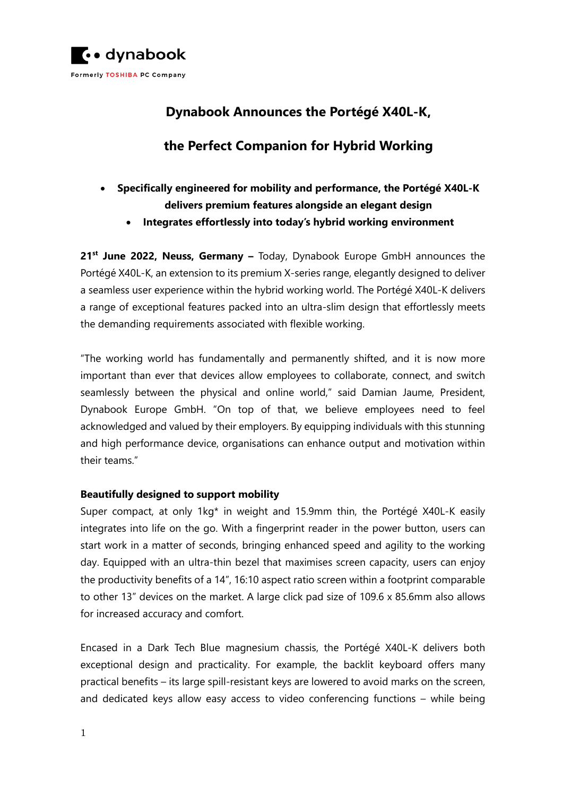

# **Dynabook Announces the Portégé X40L-K,**

# **the Perfect Companion for Hybrid Working**

- **Specifically engineered for mobility and performance, the Portégé X40L-K delivers premium features alongside an elegant design** 
	- **Integrates effortlessly into today's hybrid working environment**

**21 st June 2022, Neuss, Germany –** Today, Dynabook Europe GmbH announces the Portégé X40L-K, an extension to its premium X-series range, elegantly designed to deliver a seamless user experience within the hybrid working world. The Portégé X40L-K delivers a range of exceptional features packed into an ultra-slim design that effortlessly meets the demanding requirements associated with flexible working.

"The working world has fundamentally and permanently shifted, and it is now more important than ever that devices allow employees to collaborate, connect, and switch seamlessly between the physical and online world," said Damian Jaume, President, Dynabook Europe GmbH. "On top of that, we believe employees need to feel acknowledged and valued by their employers. By equipping individuals with this stunning and high performance device, organisations can enhance output and motivation within their teams."

## **Beautifully designed to support mobility**

Super compact, at only 1kg\* in weight and 15.9mm thin, the Portégé X40L-K easily integrates into life on the go. With a fingerprint reader in the power button, users can start work in a matter of seconds, bringing enhanced speed and agility to the working day. Equipped with an ultra-thin bezel that maximises screen capacity, users can enjoy the productivity benefits of a 14", 16:10 aspect ratio screen within a footprint comparable to other 13" devices on the market. A large click pad size of 109.6 x 85.6mm also allows for increased accuracy and comfort.

Encased in a Dark Tech Blue magnesium chassis, the Portégé X40L-K delivers both exceptional design and practicality. For example, the backlit keyboard offers many practical benefits – its large spill-resistant keys are lowered to avoid marks on the screen, and dedicated keys allow easy access to video conferencing functions – while being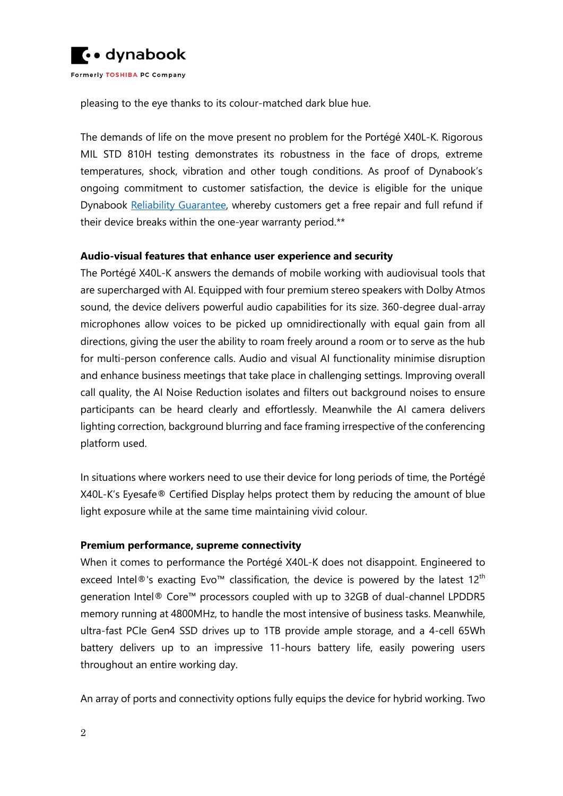

pleasing to the eye thanks to its colour-matched dark blue hue.

The demands of life on the move present no problem for the Portégé X40L-K. Rigorous MIL STD 810H testing demonstrates its robustness in the face of drops, extreme temperatures, shock, vibration and other tough conditions. As proof of Dynabook's ongoing commitment to customer satisfaction, the device is eligible for the unique Dynabook [Reliability Guarantee,](https://emea.dynabook.com/generic/reliability/) whereby customers get a free repair and full refund if their device breaks within the one-year warranty period.\*\*

#### **Audio-visual features that enhance user experience and security**

The Portégé X40L-K answers the demands of mobile working with audiovisual tools that are supercharged with AI. Equipped with four premium stereo speakers with Dolby Atmos sound, the device delivers powerful audio capabilities for its size. 360-degree dual-array microphones allow voices to be picked up omnidirectionally with equal gain from all directions, giving the user the ability to roam freely around a room or to serve as the hub for multi-person conference calls. Audio and visual AI functionality minimise disruption and enhance business meetings that take place in challenging settings. Improving overall call quality, the AI Noise Reduction isolates and filters out background noises to ensure participants can be heard clearly and effortlessly. Meanwhile the AI camera delivers lighting correction, background blurring and face framing irrespective of the conferencing platform used.

In situations where workers need to use their device for long periods of time, the Portégé X40L-K's Eyesafe® Certified Display helps protect them by reducing the amount of blue light exposure while at the same time maintaining vivid colour.

#### **Premium performance, supreme connectivity**

When it comes to performance the Portégé X40L-K does not disappoint. Engineered to exceed Intel<sup>®</sup>'s exacting Evo<sup>™</sup> classification, the device is powered by the latest 12<sup>th</sup> generation Intel® Core™ processors coupled with up to 32GB of dual-channel LPDDR5 memory running at 4800MHz, to handle the most intensive of business tasks. Meanwhile, ultra-fast PCIe Gen4 SSD drives up to 1TB provide ample storage, and a 4-cell 65Wh battery delivers up to an impressive 11-hours battery life, easily powering users throughout an entire working day.

An array of ports and connectivity options fully equips the device for hybrid working. Two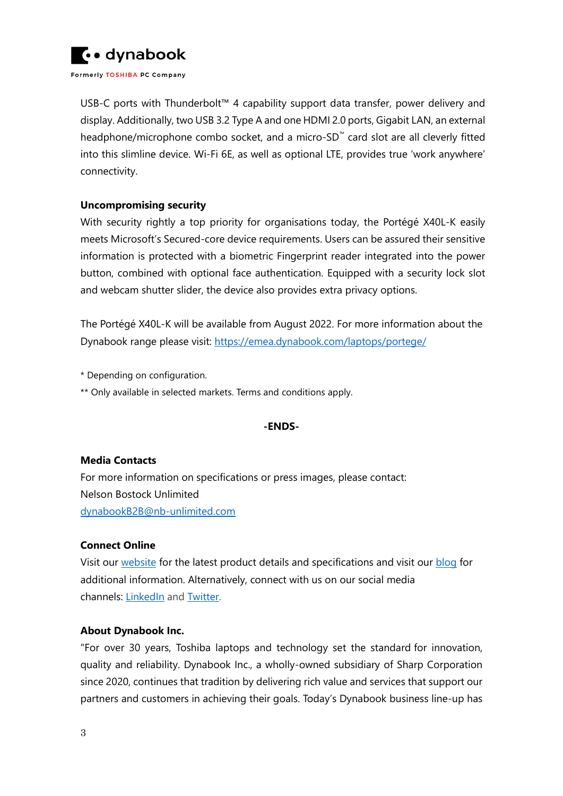

USB-C ports with Thunderbolt™ 4 capability support data transfer, power delivery and display. Additionally, two USB 3.2 Type A and one HDMI 2.0 ports, Gigabit LAN, an external headphone/microphone combo socket, and a micro-SD™ card slot are all cleverly fitted into this slimline device. Wi-Fi 6E, as well as optional LTE, provides true 'work anywhere' connectivity.

#### **Uncompromising security**

With security rightly a top priority for organisations today, the Portégé X40L-K easily meets Microsoft's Secured-core device requirements. Users can be assured their sensitive information is protected with a biometric Fingerprint reader integrated into the power button, combined with optional face authentication. Equipped with a security lock slot and webcam shutter slider, the device also provides extra privacy options.

The Portégé X40L-K will be available from August 2022. For more information about the Dynabook range please visit:<https://emea.dynabook.com/laptops/portege/>

\* Depending on configuration.

\*\* Only available in selected markets. Terms and conditions apply.

#### **-ENDS-**

#### **Media Contacts**

For more information on specifications or press images, please contact: Nelson Bostock Unlimited [dynabookB2B@nb-unlimited.com](mailto:dynabookB2B@nb-unlimited.com)

## **Connect Online**

Visit our [website](http://www.emea.dynabook.com/) for the latest product details and specifications and visit our [blog](https://emea.dynabook.com/generic/blogs/) for additional information. Alternatively, connect with us on our social media channels: [LinkedIn](https://www.linkedin.com/company/645628) and [Twitter.](https://twitter.com/dynabookuk)

#### **About Dynabook Inc.**

"For over 30 years, Toshiba laptops and technology set the standard for innovation, quality and reliability. Dynabook Inc., a wholly-owned subsidiary of Sharp Corporation since 2020, continues that tradition by delivering rich value and services that support our partners and customers in achieving their goals. Today's Dynabook business line-up has